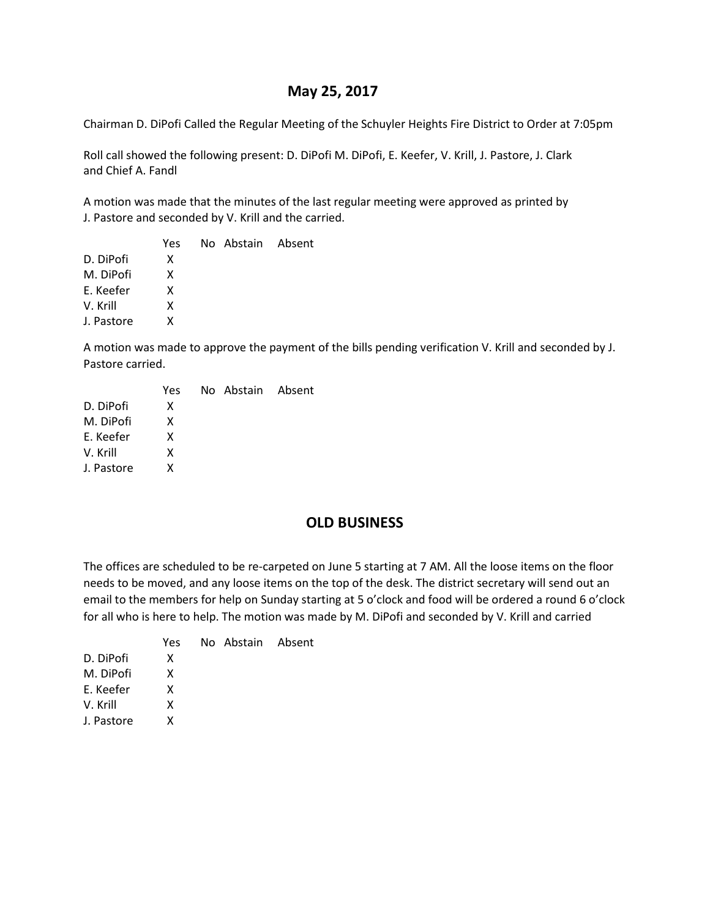# **May 25, 2017**

Chairman D. DiPofi Called the Regular Meeting of the Schuyler Heights Fire District to Order at 7:05pm

Roll call showed the following present: D. DiPofi M. DiPofi, E. Keefer, V. Krill, J. Pastore, J. Clark and Chief A. Fandl

A motion was made that the minutes of the last regular meeting were approved as printed by J. Pastore and seconded by V. Krill and the carried.

|            | Yes | No Abstain Absent |  |
|------------|-----|-------------------|--|
| D. DiPofi  | x   |                   |  |
| M. DiPofi  | x   |                   |  |
| E. Keefer  | x   |                   |  |
| V. Krill   | x   |                   |  |
| J. Pastore | x   |                   |  |
|            |     |                   |  |

A motion was made to approve the payment of the bills pending verification V. Krill and seconded by J. Pastore carried.

|            | Yes | No Abstain Absent |  |
|------------|-----|-------------------|--|
| D. DiPofi  | x   |                   |  |
| M. DiPofi  | x   |                   |  |
| E. Keefer  | x   |                   |  |
| V. Krill   | X   |                   |  |
| J. Pastore | x   |                   |  |
|            |     |                   |  |

# **OLD BUSINESS**

The offices are scheduled to be re-carpeted on June 5 starting at 7 AM. All the loose items on the floor needs to be moved, and any loose items on the top of the desk. The district secretary will send out an email to the members for help on Sunday starting at 5 o'clock and food will be ordered a round 6 o'clock for all who is here to help. The motion was made by M. DiPofi and seconded by V. Krill and carried

|            | Yes | No Abstain Absent |  |
|------------|-----|-------------------|--|
| D. DiPofi  | x   |                   |  |
| M. DiPofi  | x   |                   |  |
| E. Keefer  | x   |                   |  |
| V. Krill   | x   |                   |  |
| J. Pastore | x   |                   |  |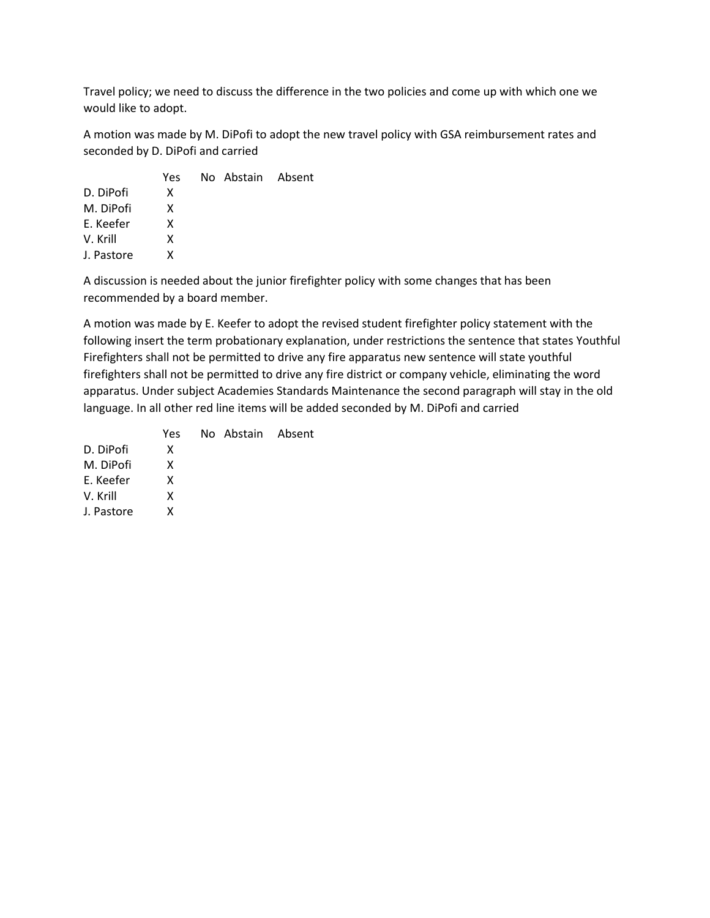Travel policy; we need to discuss the difference in the two policies and come up with which one we would like to adopt.

A motion was made by M. DiPofi to adopt the new travel policy with GSA reimbursement rates and seconded by D. DiPofi and carried

|            | Yes | No Abstain Absent |  |
|------------|-----|-------------------|--|
| D. DiPofi  | x   |                   |  |
| M. DiPofi  | x   |                   |  |
| E. Keefer  | x   |                   |  |
| V. Krill   | x   |                   |  |
| J. Pastore | x   |                   |  |
|            |     |                   |  |

A discussion is needed about the junior firefighter policy with some changes that has been recommended by a board member.

A motion was made by E. Keefer to adopt the revised student firefighter policy statement with the following insert the term probationary explanation, under restrictions the sentence that states Youthful Firefighters shall not be permitted to drive any fire apparatus new sentence will state youthful firefighters shall not be permitted to drive any fire district or company vehicle, eliminating the word apparatus. Under subject Academies Standards Maintenance the second paragraph will stay in the old language. In all other red line items will be added seconded by M. DiPofi and carried

|            | Yes. | No Abstain Absent |  |
|------------|------|-------------------|--|
| D. DiPofi  | X    |                   |  |
| M. DiPofi  | x    |                   |  |
| E. Keefer  | x    |                   |  |
| V. Krill   | x    |                   |  |
| J. Pastore | x    |                   |  |
|            |      |                   |  |
|            |      |                   |  |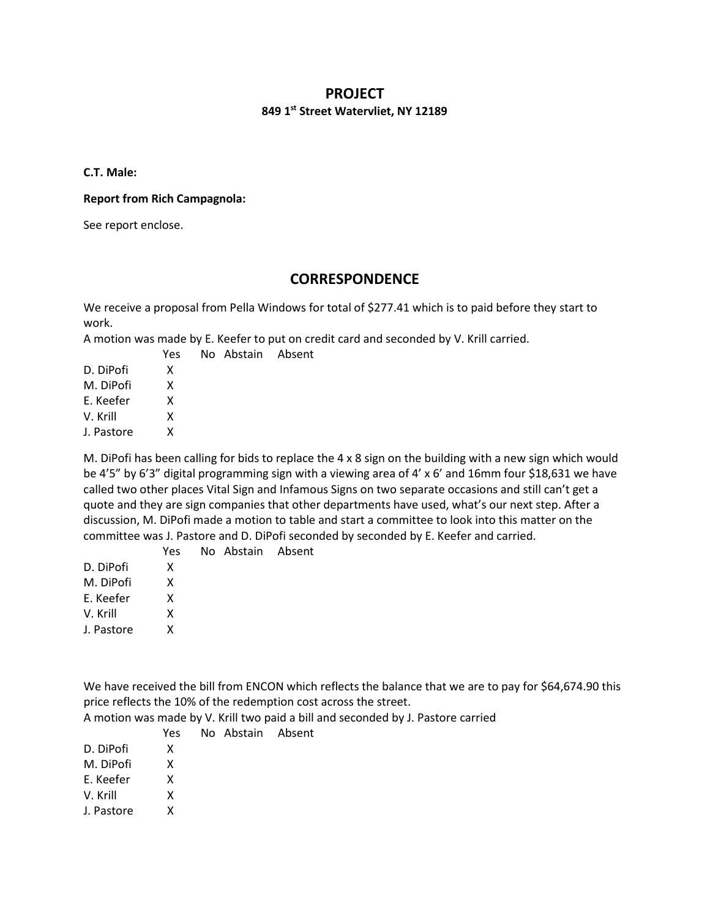### **PROJECT**

#### **849 1st Street Watervliet, NY 12189**

**C.T. Male:**

#### **Report from Rich Campagnola:**

See report enclose.

# **CORRESPONDENCE**

We receive a proposal from Pella Windows for total of \$277.41 which is to paid before they start to work.

A motion was made by E. Keefer to put on credit card and seconded by V. Krill carried.

No Abstain Absent

|            | Yes |
|------------|-----|
| D. DiPofi  | x   |
| M. DiPofi  | x   |
| F. Keefer  | x   |
| V. Krill   | x   |
| J. Pastore | x   |
|            |     |

M. DiPofi has been calling for bids to replace the 4 x 8 sign on the building with a new sign which would be 4'5" by 6'3" digital programming sign with a viewing area of 4' x 6' and 16mm four \$18,631 we have called two other places Vital Sign and Infamous Signs on two separate occasions and still can't get a quote and they are sign companies that other departments have used, what's our next step. After a discussion, M. DiPofi made a motion to table and start a committee to look into this matter on the committee was J. Pastore and D. DiPofi seconded by seconded by E. Keefer and carried.

|            | Yes | No Abstain Absent |  |
|------------|-----|-------------------|--|
| D. DiPofi  | X   |                   |  |
| M. DiPofi  | x   |                   |  |
| E. Keefer  | x   |                   |  |
| V. Krill   | x   |                   |  |
| J. Pastore | x   |                   |  |
|            |     |                   |  |

We have received the bill from ENCON which reflects the balance that we are to pay for \$64,674.90 this price reflects the 10% of the redemption cost across the street.

A motion was made by V. Krill two paid a bill and seconded by J. Pastore carried

|            | Yes | No Abstain Absent |  |
|------------|-----|-------------------|--|
| D. DiPofi  | x   |                   |  |
| M. DiPofi  | x   |                   |  |
| F. Keefer  | x   |                   |  |
| V. Krill   | x   |                   |  |
| J. Pastore | x   |                   |  |
|            |     |                   |  |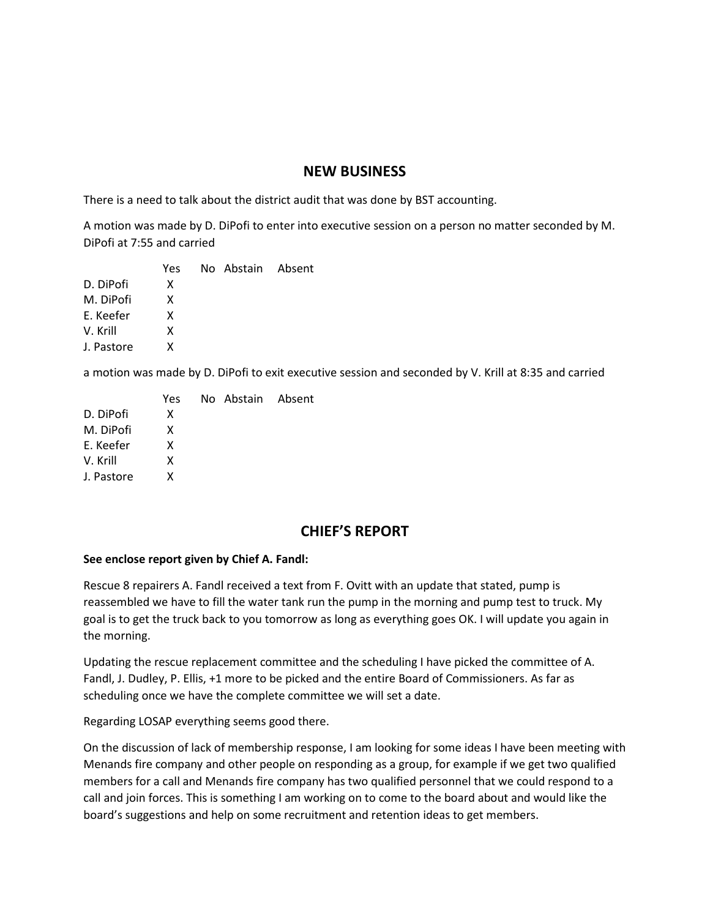### **NEW BUSINESS**

There is a need to talk about the district audit that was done by BST accounting.

A motion was made by D. DiPofi to enter into executive session on a person no matter seconded by M. DiPofi at 7:55 and carried

|            | Yes | No Abstain Absent |  |
|------------|-----|-------------------|--|
| D. DiPofi  | x   |                   |  |
| M. DiPofi  | x   |                   |  |
| E. Keefer  | x   |                   |  |
| V. Krill   | x   |                   |  |
| J. Pastore | x   |                   |  |
|            |     |                   |  |

a motion was made by D. DiPofi to exit executive session and seconded by V. Krill at 8:35 and carried

| Yes |  |                   |
|-----|--|-------------------|
| x   |  |                   |
| x   |  |                   |
| x   |  |                   |
| x   |  |                   |
| x   |  |                   |
|     |  | No Abstain Absent |

# **CHIEF'S REPORT**

### **See enclose report given by Chief A. Fandl:**

Rescue 8 repairers A. Fandl received a text from F. Ovitt with an update that stated, pump is reassembled we have to fill the water tank run the pump in the morning and pump test to truck. My goal is to get the truck back to you tomorrow as long as everything goes OK. I will update you again in the morning.

Updating the rescue replacement committee and the scheduling I have picked the committee of A. Fandl, J. Dudley, P. Ellis, +1 more to be picked and the entire Board of Commissioners. As far as scheduling once we have the complete committee we will set a date.

Regarding LOSAP everything seems good there.

On the discussion of lack of membership response, I am looking for some ideas I have been meeting with Menands fire company and other people on responding as a group, for example if we get two qualified members for a call and Menands fire company has two qualified personnel that we could respond to a call and join forces. This is something I am working on to come to the board about and would like the board's suggestions and help on some recruitment and retention ideas to get members.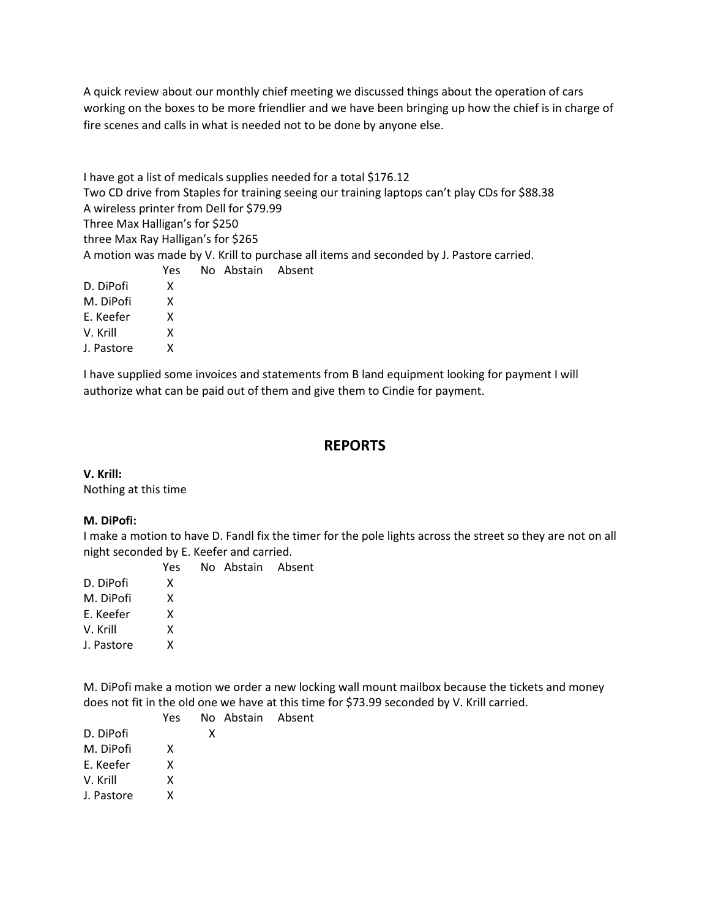A quick review about our monthly chief meeting we discussed things about the operation of cars working on the boxes to be more friendlier and we have been bringing up how the chief is in charge of fire scenes and calls in what is needed not to be done by anyone else.

I have got a list of medicals supplies needed for a total \$176.12 Two CD drive from Staples for training seeing our training laptops can't play CDs for \$88.38 A wireless printer from Dell for \$79.99 Three Max Halligan's for \$250 three Max Ray Halligan's for \$265 A motion was made by V. Krill to purchase all items and seconded by J. Pastore carried. Yes No Abstain Absent D. DiPofi X

- M. DiPofi X
- E. Keefer X
- V. Krill X
- J. Pastore X

I have supplied some invoices and statements from B land equipment looking for payment I will authorize what can be paid out of them and give them to Cindie for payment.

# **REPORTS**

**V. Krill:**

Nothing at this time

### **M. DiPofi:**

I make a motion to have D. Fandl fix the timer for the pole lights across the street so they are not on all night seconded by E. Keefer and carried.

 Yes No Abstain Absent D. DiPofi X M. DiPofi X E. Keefer X V. Krill X J. Pastore X

M. DiPofi make a motion we order a new locking wall mount mailbox because the tickets and money does not fit in the old one we have at this time for \$73.99 seconded by V. Krill carried.

|            | Yes |   | No Abstain Absent |  |
|------------|-----|---|-------------------|--|
| D. DiPofi  |     | x |                   |  |
| M. DiPofi  | x   |   |                   |  |
| E. Keefer  | x   |   |                   |  |
| V. Krill   | x   |   |                   |  |
| J. Pastore | x   |   |                   |  |
|            |     |   |                   |  |